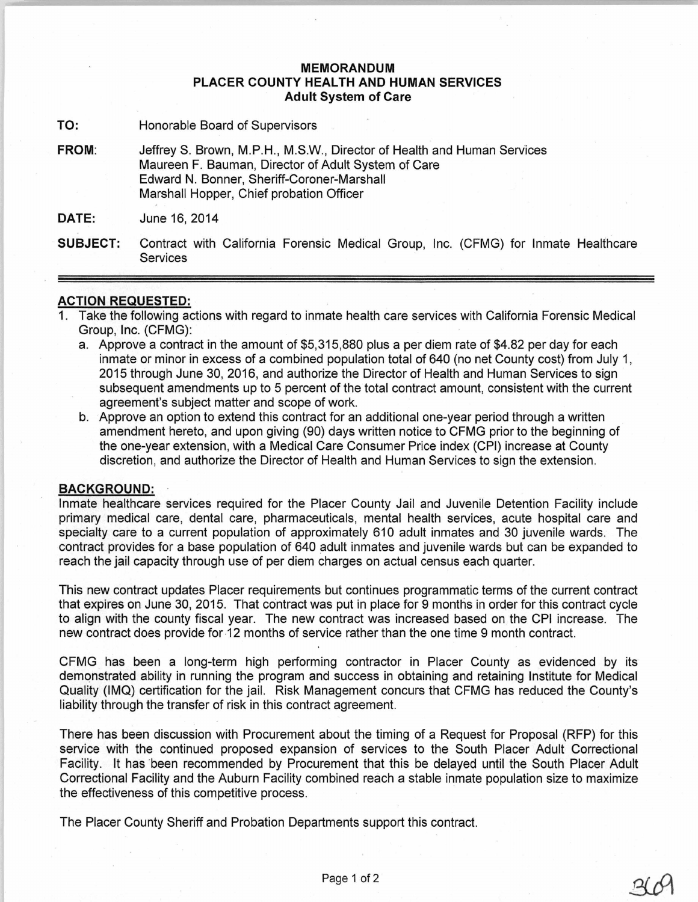## **MEMORANDUM PLACER COUNTY HEALTH AND HUMAN SERVICES Adult System of Care**

- **TO:** Honorable Board of Supervisors
- FROM: Jeffrey S. Brown, M.P.H., M.S.W., Director of Health and Human Services Maureen F. Bauman, Director of Adult System of Care Edward N. Bonner, Sheriff-Coroner-Marshall Marshall Hopper, Chief probation Officer

**DATE:** June 16, 2014

**SUBJECT:** Contract with California Forensic Medical Group, Inc. (CFMG) for Inmate Healthcare **Services** 

## **ACTION REQUESTED:**

- 1. Take the following actions with regard to inmate health care services with California Forensic Medical Group, Inc. (CFMG):
	- a. Approve a contract in the amount of \$5,315,880 plus a per diem rate of \$4.82 per day for each inmate or minor in excess of a combined population total of 640 (no net County cost) from July 1, 2015 through June 30, 2016, and authorize the Director of Health and Human Services to sign subsequent amendments up to 5 percent of the total contract amount, consistent with the current agreement's subject matter and scope of work.
	- b. Approve an option to extend this contract for an additional one-year period through a written amendment hereto, and upon giving (90) days written notice to CFMG prior to the beginning of the one-year extension, with a Medical Care Consumer Price index (CPI) increase at County discretion, and authorize the Director of Health and Human Services to sign the extension.

## **BACKGROUND:**

Inmate healthcare services required for the Placer County Jail and Juvenile Detention Facility include primary medical care, dental care, pharmaceuticals, mental health services, acute hospital care and specialty care to a current population of approximately 610 adult inmates and 30 juvenile wards. The contract provides for a base population of 640 adult inmates and juvenile wards but can be expanded to reach the jail capacity through use of per diem charges on actual census each quarter.

This new contract updates Placer requirements but continues programmatic terms of the current contract that expires on June 30, 2015. That contract was put in place for 9 months in order for this contract cycle to align with the county fiscal year. The new contract was increased based on the CPI increase. The new contract does provide for -12 months of service rather than the one time 9 month contract.

CFMG has been a long-term high performing contractor in Placer County as evidenced by its demonstrated ability in running the program and success in obtaining and retaining Institute for Medical Quality (IMQ) certification for the jail. Risk Management concurs that CFMG has reduced the County's liability through the transfer of risk in this contract agreement.

There has been discussion with Procurement about the timing of a Request for Proposal (RFP) for this service with the continued proposed expansion of services to the South Placer Adult Correctional Facility. It has been recommended by Procurement that this be delayed until the South Placer Adult Correctional Facility and the Auburn Facility combined reach a stable inmate population size to maximize the effectiveness of this competitive process.

The Placer County Sheriff and Probation Departments support this contract.